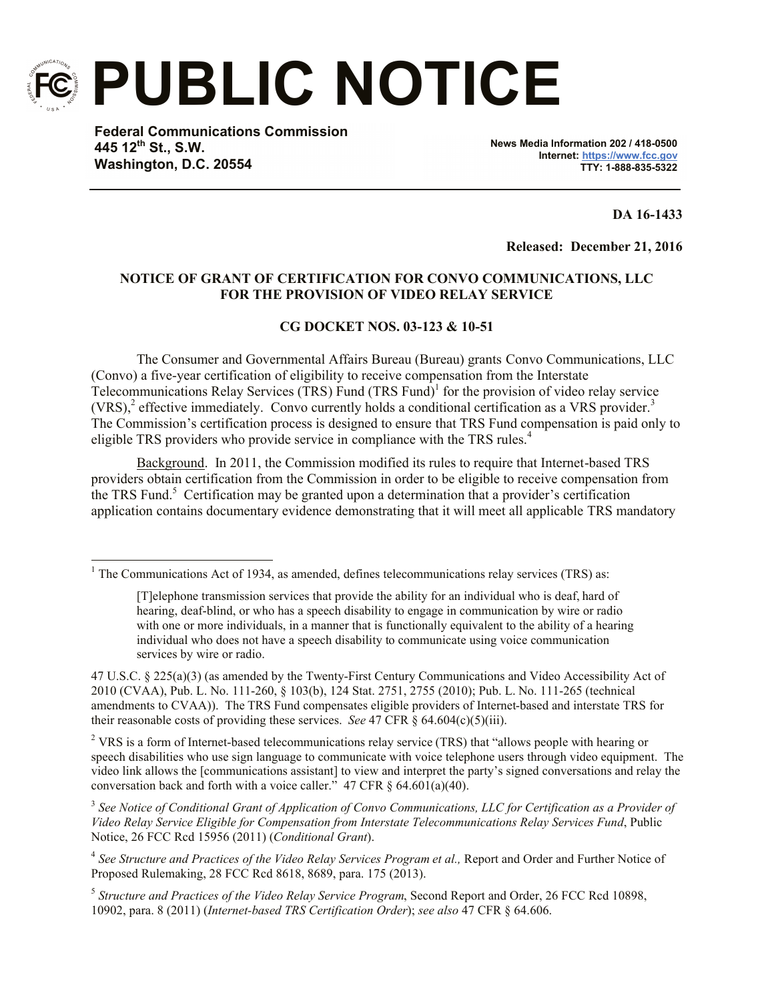

l

**PUBLIC NOTICE**

**Federal Communications Commission 445 12th St., S.W. Washington, D.C. 20554**

**News Media Information 202 / 418-0500 Internet: https://www.fcc.gov TTY: 1-888-835-5322**

**DA 16-1433**

**Released: December 21, 2016**

## **NOTICE OF GRANT OF CERTIFICATION FOR CONVO COMMUNICATIONS, LLC FOR THE PROVISION OF VIDEO RELAY SERVICE**

## **CG DOCKET NOS. 03-123 & 10-51**

The Consumer and Governmental Affairs Bureau (Bureau) grants Convo Communications, LLC (Convo) a five-year certification of eligibility to receive compensation from the Interstate Telecommunications Relay Services (TRS) Fund  $(TRS Fund)^{1}$  for the provision of video relay service  $(VRS)<sup>2</sup>$  effective immediately. Convo currently holds a conditional certification as a VRS provider.<sup>3</sup> The Commission's certification process is designed to ensure that TRS Fund compensation is paid only to eligible TRS providers who provide service in compliance with the TRS rules.<sup>4</sup>

Background. In 2011, the Commission modified its rules to require that Internet-based TRS providers obtain certification from the Commission in order to be eligible to receive compensation from the TRS Fund.<sup>5</sup> Certification may be granted upon a determination that a provider's certification application contains documentary evidence demonstrating that it will meet all applicable TRS mandatory

<sup>2</sup> VRS is a form of Internet-based telecommunications relay service (TRS) that "allows people with hearing or speech disabilities who use sign language to communicate with voice telephone users through video equipment. The video link allows the [communications assistant] to view and interpret the party's signed conversations and relay the conversation back and forth with a voice caller."  $47 \text{ CFR } \frac{6}{9} \times 64.601(a)(40)$ .

 $1$  The Communications Act of 1934, as amended, defines telecommunications relay services (TRS) as:

<sup>[</sup>T]elephone transmission services that provide the ability for an individual who is deaf, hard of hearing, deaf-blind, or who has a speech disability to engage in communication by wire or radio with one or more individuals, in a manner that is functionally equivalent to the ability of a hearing individual who does not have a speech disability to communicate using voice communication services by wire or radio.

<sup>47</sup> U.S.C. § 225(a)(3) (as amended by the Twenty-First Century Communications and Video Accessibility Act of 2010 (CVAA), Pub. L. No. 111-260, § 103(b), 124 Stat. 2751, 2755 (2010); Pub. L. No. 111-265 (technical amendments to CVAA)). The TRS Fund compensates eligible providers of Internet-based and interstate TRS for their reasonable costs of providing these services. *See* 47 CFR § 64.604(c)(5)(iii).

<sup>&</sup>lt;sup>3</sup> See Notice of Conditional Grant of Application of Convo Communications, LLC for Certification as a Provider of *Video Relay Service Eligible for Compensation from Interstate Telecommunications Relay Services Fund*, Public Notice, 26 FCC Rcd 15956 (2011) (*Conditional Grant*).

<sup>4</sup> *See Structure and Practices of the Video Relay Services Program et al.,* Report and Order and Further Notice of Proposed Rulemaking, 28 FCC Rcd 8618, 8689, para. 175 (2013).

<sup>5</sup> *Structure and Practices of the Video Relay Service Program*, Second Report and Order, 26 FCC Rcd 10898, 10902, para. 8 (2011) (*Internet-based TRS Certification Order*); *see also* 47 CFR § 64.606.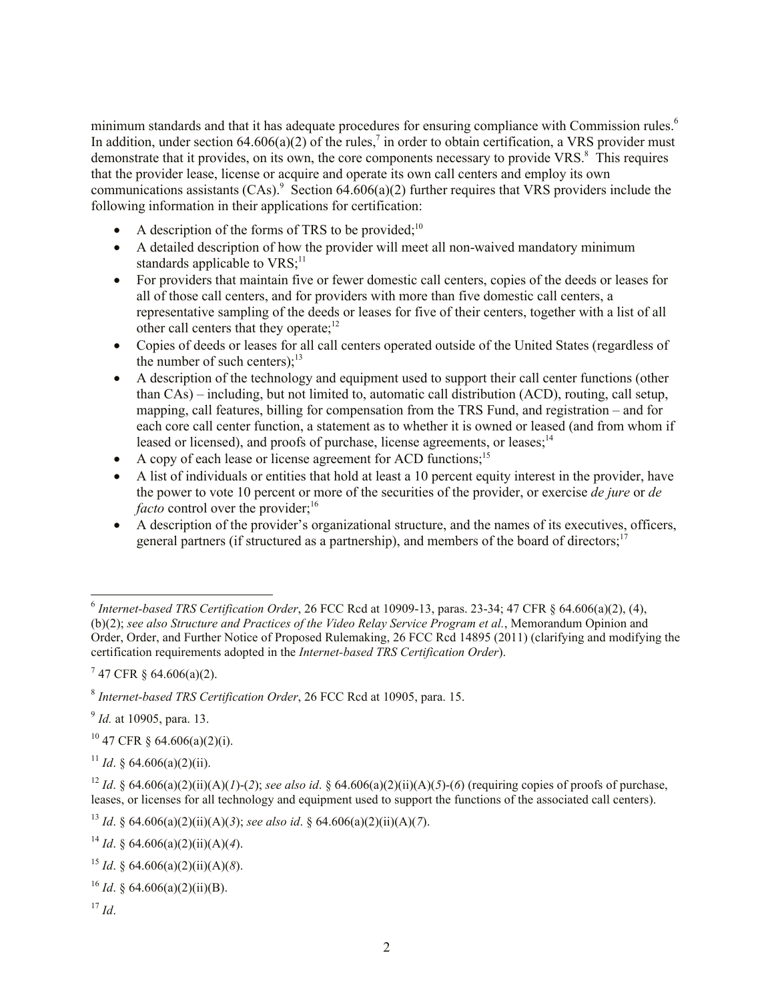minimum standards and that it has adequate procedures for ensuring compliance with Commission rules.<sup>6</sup> In addition, under section  $64.606(a)(2)$  of the rules,<sup>7</sup> in order to obtain certification, a VRS provider must demonstrate that it provides, on its own, the core components necessary to provide VRS.<sup>8</sup> This requires that the provider lease, license or acquire and operate its own call centers and employ its own communications assistants  $(CAs)$ <sup>9</sup> Section 64.606(a)(2) further requires that VRS providers include the following information in their applications for certification:

- A description of the forms of TRS to be provided; $^{10}$
- A detailed description of how the provider will meet all non-waived mandatory minimum standards applicable to  $VRS$ <sup>11</sup>
- For providers that maintain five or fewer domestic call centers, copies of the deeds or leases for all of those call centers, and for providers with more than five domestic call centers, a representative sampling of the deeds or leases for five of their centers, together with a list of all other call centers that they operate;<sup>12</sup>
- Copies of deeds or leases for all call centers operated outside of the United States (regardless of the number of such centers); $^{13}$
- A description of the technology and equipment used to support their call center functions (other than CAs) – including, but not limited to, automatic call distribution (ACD), routing, call setup, mapping, call features, billing for compensation from the TRS Fund, and registration – and for each core call center function, a statement as to whether it is owned or leased (and from whom if leased or licensed), and proofs of purchase, license agreements, or leases;<sup>14</sup>
- A copy of each lease or license agreement for ACD functions;<sup>15</sup>
- A list of individuals or entities that hold at least a 10 percent equity interest in the provider, have the power to vote 10 percent or more of the securities of the provider, or exercise *de jure* or *de*  facto control over the provider;<sup>16</sup>
- A description of the provider's organizational structure, and the names of its executives, officers, general partners (if structured as a partnership), and members of the board of directors;<sup>17</sup>

 $10$  47 CFR § 64.606(a)(2)(i).

<sup>11</sup> *Id.* § 64.606(a)(2)(ii).

 $17$  *Id*.

 6 *Internet-based TRS Certification Order*, 26 FCC Rcd at 10909-13, paras. 23-34; 47 CFR § 64.606(a)(2), (4), (b)(2); *see also Structure and Practices of the Video Relay Service Program et al.*, Memorandum Opinion and Order, Order, and Further Notice of Proposed Rulemaking, 26 FCC Rcd 14895 (2011) (clarifying and modifying the certification requirements adopted in the *Internet-based TRS Certification Order*).

 $747$  CFR § 64.606(a)(2).

<sup>8</sup> *Internet-based TRS Certification Order*, 26 FCC Rcd at 10905, para. 15.

<sup>9</sup> *Id.* at 10905, para. 13.

<sup>&</sup>lt;sup>12</sup> *Id*. § 64.606(a)(2)(ii)(A)(*I*)-(2); *see also id.* § 64.606(a)(2)(ii)(A)(5)-(6) (requiring copies of proofs of purchase, leases, or licenses for all technology and equipment used to support the functions of the associated call centers).

<sup>13</sup> *Id*. § 64.606(a)(2)(ii)(A)(*3*); *see also id*. § 64.606(a)(2)(ii)(A)(*7*).

<sup>&</sup>lt;sup>14</sup> *Id*. § 64.606(a)(2)(ii)(A)(4).

<sup>&</sup>lt;sup>15</sup> *Id*. § 64.606(a)(2)(ii)(A)(8).

<sup>16</sup> *Id*. § 64.606(a)(2)(ii)(B).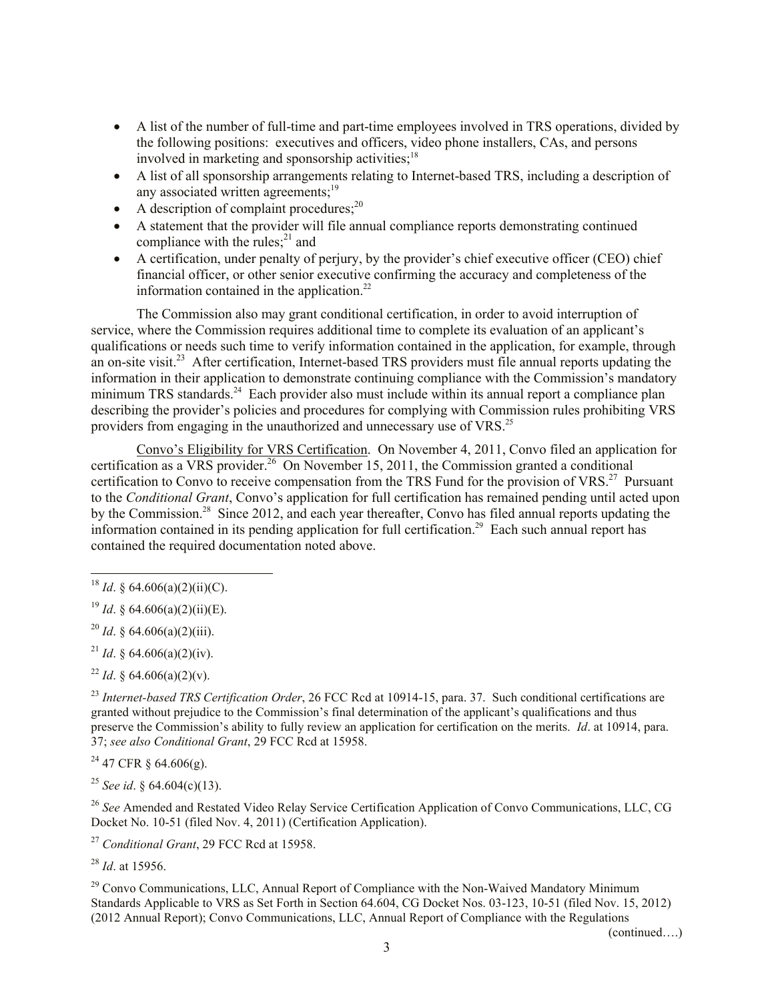- A list of the number of full-time and part-time employees involved in TRS operations, divided by the following positions: executives and officers, video phone installers, CAs, and persons involved in marketing and sponsorship activities;<sup>18</sup>
- A list of all sponsorship arrangements relating to Internet-based TRS, including a description of any associated written agreements;<sup>19</sup>
- A description of complaint procedures; $^{20}$
- A statement that the provider will file annual compliance reports demonstrating continued compliance with the rules; $^{21}$  and
- A certification, under penalty of perjury, by the provider's chief executive officer (CEO) chief financial officer, or other senior executive confirming the accuracy and completeness of the information contained in the application. $22$

The Commission also may grant conditional certification, in order to avoid interruption of service, where the Commission requires additional time to complete its evaluation of an applicant's qualifications or needs such time to verify information contained in the application, for example, through an on-site visit.<sup>23</sup> After certification, Internet-based TRS providers must file annual reports updating the information in their application to demonstrate continuing compliance with the Commission's mandatory minimum TRS standards.<sup>24</sup> Each provider also must include within its annual report a compliance plan describing the provider's policies and procedures for complying with Commission rules prohibiting VRS providers from engaging in the unauthorized and unnecessary use of VRS.<sup>25</sup>

Convo's Eligibility for VRS Certification. On November 4, 2011, Convo filed an application for certification as a VRS provider. <sup>26</sup> On November 15, 2011, the Commission granted a conditional certification to Convo to receive compensation from the TRS Fund for the provision of VRS.<sup>27</sup> Pursuant to the *Conditional Grant*, Convo's application for full certification has remained pending until acted upon by the Commission.<sup>28</sup> Since 2012, and each year thereafter, Convo has filed annual reports updating the information contained in its pending application for full certification. 29 Each such annual report has contained the required documentation noted above.

 $\overline{\phantom{a}}$ 

<sup>20</sup> *Id*. § 64.606(a)(2)(iii).

<sup>21</sup> *Id.* § 64.606(a)(2)(iv).

<sup>22</sup> *Id.* § 64.606(a)(2)(v).

<sup>23</sup> *Internet-based TRS Certification Order*, 26 FCC Rcd at 10914-15, para. 37. Such conditional certifications are granted without prejudice to the Commission's final determination of the applicant's qualifications and thus preserve the Commission's ability to fully review an application for certification on the merits. *Id*. at 10914, para. 37; *see also Conditional Grant*, 29 FCC Rcd at 15958.

 $^{24}$  47 CFR § 64.606(g).

<sup>25</sup> *See id*. § 64.604(c)(13).

<sup>26</sup> *See* Amended and Restated Video Relay Service Certification Application of Convo Communications, LLC, CG Docket No. 10-51 (filed Nov. 4, 2011) (Certification Application).

<sup>27</sup> *Conditional Grant*, 29 FCC Rcd at 15958.

<sup>28</sup> *Id*. at 15956.

 $29$  Convo Communications, LLC, Annual Report of Compliance with the Non-Waived Mandatory Minimum Standards Applicable to VRS as Set Forth in Section 64.604, CG Docket Nos. 03-123, 10-51 (filed Nov. 15, 2012) (2012 Annual Report); Convo Communications, LLC, Annual Report of Compliance with the Regulations

(continued….)

<sup>&</sup>lt;sup>18</sup> *Id.* § 64.606(a)(2)(ii)(C).

<sup>&</sup>lt;sup>19</sup> *Id.* § 64.606(a)(2)(ii)(E).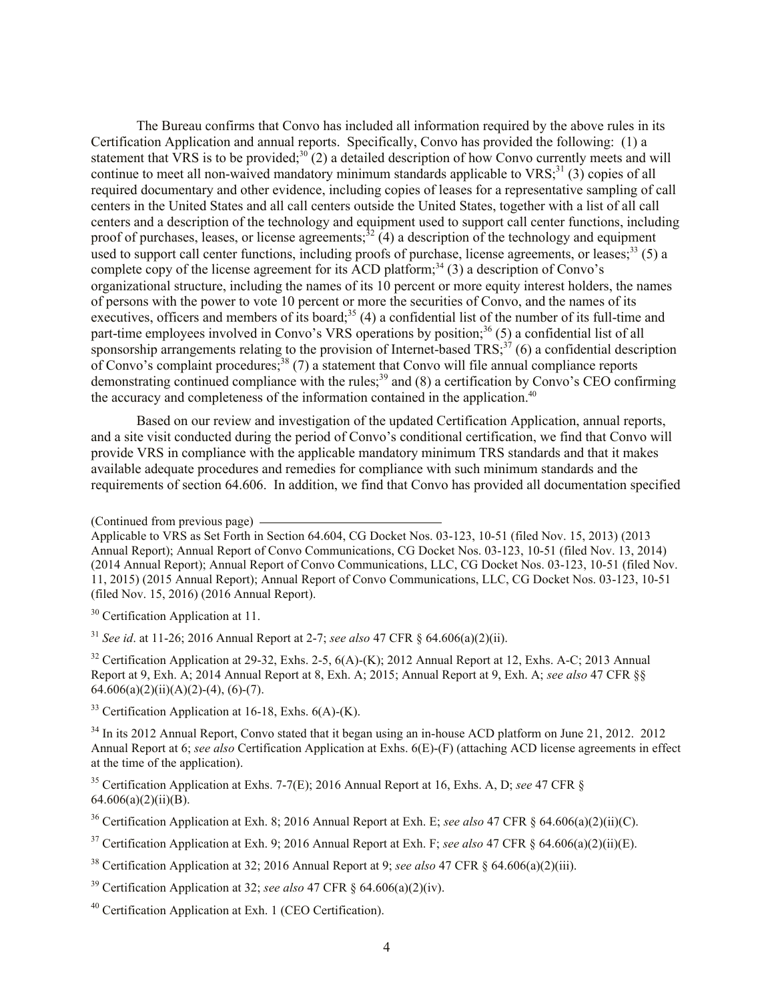The Bureau confirms that Convo has included all information required by the above rules in its Certification Application and annual reports. Specifically, Convo has provided the following: (1) a statement that VRS is to be provided; $30^{\circ}$ (2) a detailed description of how Convo currently meets and will continue to meet all non-waived mandatory minimum standards applicable to  $VRS$ <sup>31</sup> (3) copies of all required documentary and other evidence, including copies of leases for a representative sampling of call centers in the United States and all call centers outside the United States, together with a list of all call centers and a description of the technology and equipment used to support call center functions, including proof of purchases, leases, or license agreements;  $^{32}$  (4) a description of the technology and equipment used to support call center functions, including proofs of purchase, license agreements, or leases;  $33$  (5) a complete copy of the license agreement for its ACD platform;<sup>34</sup> (3) a description of Convo's organizational structure, including the names of its 10 percent or more equity interest holders, the names of persons with the power to vote 10 percent or more the securities of Convo, and the names of its executives, officers and members of its board;<sup>35</sup> (4) a confidential list of the number of its full-time and part-time employees involved in Convo's VRS operations by position;<sup>36</sup> (5) a confidential list of all sponsorship arrangements relating to the provision of Internet-based  $TRS$ ;<sup>37</sup> (6) a confidential description of Convo's complaint procedures;<sup>38</sup> (7) a statement that Convo will file annual compliance reports demonstrating continued compliance with the rules;<sup>39</sup> and (8) a certification by Convo's CEO confirming the accuracy and completeness of the information contained in the application.<sup>40</sup>

Based on our review and investigation of the updated Certification Application, annual reports, and a site visit conducted during the period of Convo's conditional certification, we find that Convo will provide VRS in compliance with the applicable mandatory minimum TRS standards and that it makes available adequate procedures and remedies for compliance with such minimum standards and the requirements of section 64.606. In addition, we find that Convo has provided all documentation specified

<sup>32</sup> Certification Application at 29-32, Exhs. 2-5,  $6(A)$ - $(K)$ ; 2012 Annual Report at 12, Exhs. A-C; 2013 Annual Report at 9, Exh. A; 2014 Annual Report at 8, Exh. A; 2015; Annual Report at 9, Exh. A; *see also* 47 CFR §§  $64.606(a)(2)(ii)(A)(2)-(4), (6)-(7).$ 

 $33$  Certification Application at 16-18, Exhs. 6(A)-(K).

<sup>34</sup> In its 2012 Annual Report, Convo stated that it began using an in-house ACD platform on June 21, 2012. 2012 Annual Report at 6; *see also* Certification Application at Exhs. 6(E)-(F) (attaching ACD license agreements in effect at the time of the application).

<sup>35</sup> Certification Application at Exhs. 7-7(E); 2016 Annual Report at 16, Exhs. A, D; *see* 47 CFR §  $64.606(a)(2)(ii)(B)$ .

<sup>36</sup> Certification Application at Exh. 8; 2016 Annual Report at Exh. E; *see also* 47 CFR § 64.606(a)(2)(ii)(C).

<sup>37</sup> Certification Application at Exh. 9; 2016 Annual Report at Exh. F; *see also* 47 CFR § 64.606(a)(2)(ii)(E).

<sup>38</sup> Certification Application at 32; 2016 Annual Report at 9; *see also* 47 CFR § 64.606(a)(2)(iii).

<sup>39</sup> Certification Application at 32; *see also* 47 CFR § 64.606(a)(2)(iv).

<sup>40</sup> Certification Application at Exh. 1 (CEO Certification).

<sup>(</sup>Continued from previous page)

Applicable to VRS as Set Forth in Section 64.604, CG Docket Nos. 03-123, 10-51 (filed Nov. 15, 2013) (2013 Annual Report); Annual Report of Convo Communications, CG Docket Nos. 03-123, 10-51 (filed Nov. 13, 2014) (2014 Annual Report); Annual Report of Convo Communications, LLC, CG Docket Nos. 03-123, 10-51 (filed Nov. 11, 2015) (2015 Annual Report); Annual Report of Convo Communications, LLC, CG Docket Nos. 03-123, 10-51 (filed Nov. 15, 2016) (2016 Annual Report).

<sup>&</sup>lt;sup>30</sup> Certification Application at 11.

<sup>31</sup> *See id*. at 11-26; 2016 Annual Report at 2-7; *see also* 47 CFR § 64.606(a)(2)(ii).